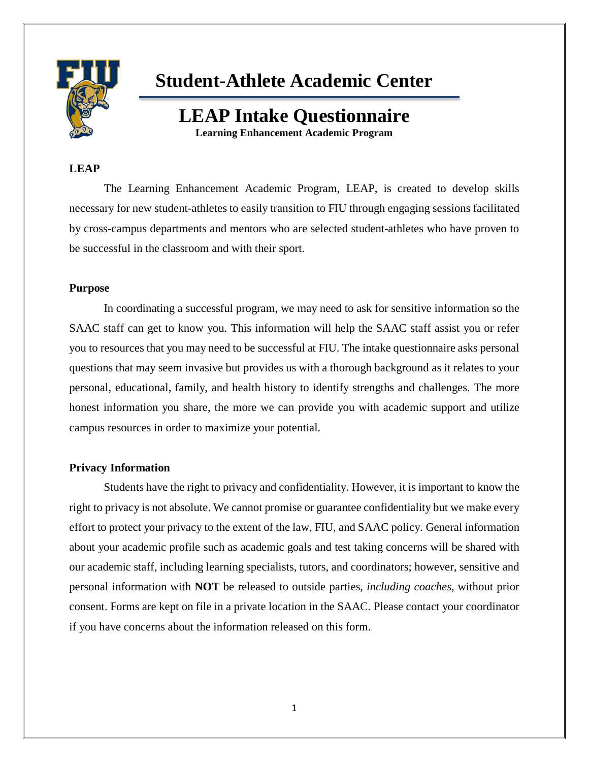

# **Student-Athlete Academic Center**

## **LEAP Intake Questionnaire Learning Enhancement Academic Program**

#### **LEAP**

The Learning Enhancement Academic Program, LEAP, is created to develop skills necessary for new student-athletes to easily transition to FIU through engaging sessions facilitated by cross-campus departments and mentors who are selected student-athletes who have proven to be successful in the classroom and with their sport.

#### **Purpose**

In coordinating a successful program, we may need to ask for sensitive information so the SAAC staff can get to know you. This information will help the SAAC staff assist you or refer you to resources that you may need to be successful at FIU. The intake questionnaire asks personal questions that may seem invasive but provides us with a thorough background as it relates to your personal, educational, family, and health history to identify strengths and challenges. The more honest information you share, the more we can provide you with academic support and utilize campus resources in order to maximize your potential.

#### **Privacy Information**

Students have the right to privacy and confidentiality. However, it is important to know the right to privacy is not absolute. We cannot promise or guarantee confidentiality but we make every effort to protect your privacy to the extent of the law, FIU, and SAAC policy. General information about your academic profile such as academic goals and test taking concerns will be shared with our academic staff, including learning specialists, tutors, and coordinators; however, sensitive and personal information with **NOT** be released to outside parties, *including coaches*, without prior consent. Forms are kept on file in a private location in the SAAC. Please contact your coordinator if you have concerns about the information released on this form.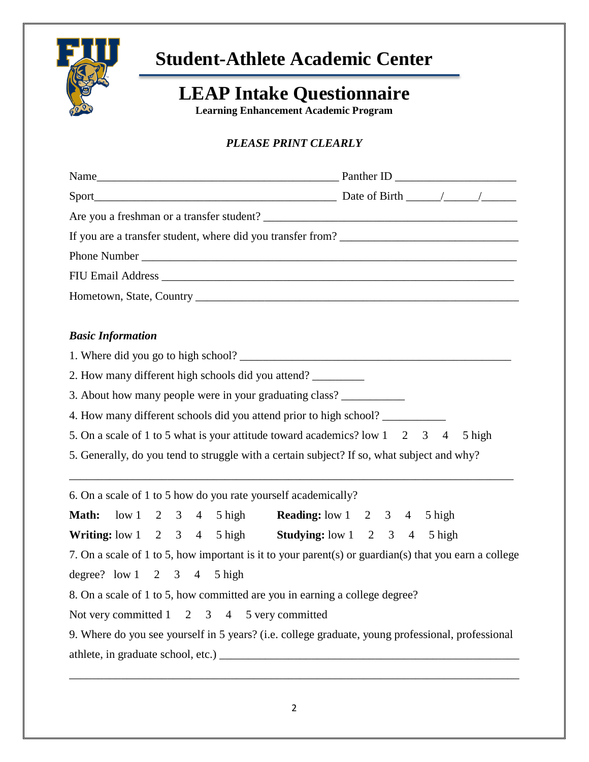

# **Student-Athlete Academic Center**

# **LEAP Intake Questionnaire**

**Learning Enhancement Academic Program**

## *PLEASE PRINT CLEARLY*

| <b>Basic Information</b>                                                                                     |        |
|--------------------------------------------------------------------------------------------------------------|--------|
|                                                                                                              |        |
| 2. How many different high schools did you attend?                                                           |        |
| 3. About how many people were in your graduating class?                                                      |        |
| 4. How many different schools did you attend prior to high school?                                           |        |
| 5. On a scale of 1 to 5 what is your attitude toward academics? low 1 2 3 4                                  | 5 high |
| 5. Generally, do you tend to struggle with a certain subject? If so, what subject and why?                   |        |
| 6. On a scale of 1 to 5 how do you rate yourself academically?                                               |        |
| Math: low 1 2 3 4 5 high Reading: low 1 2 3 4 5 high                                                         |        |
| Writing: low $1 \quad 2 \quad 3 \quad 4 \quad 5$ high Studying: low $1 \quad 2 \quad 3 \quad 4 \quad 5$ high |        |
| 7. On a scale of 1 to 5, how important is it to your parent(s) or guardian(s) that you earn a college        |        |
| degree? $low 1 \quad 2 \quad 3 \quad 4 \quad 5 high$                                                         |        |
| 8. On a scale of 1 to 5, how committed are you in earning a college degree?                                  |        |
| Not very committed 1 2 3 4 5 very committed                                                                  |        |
| 9. Where do you see yourself in 5 years? (i.e. college graduate, young professional, professional            |        |
|                                                                                                              |        |

\_\_\_\_\_\_\_\_\_\_\_\_\_\_\_\_\_\_\_\_\_\_\_\_\_\_\_\_\_\_\_\_\_\_\_\_\_\_\_\_\_\_\_\_\_\_\_\_\_\_\_\_\_\_\_\_\_\_\_\_\_\_\_\_\_\_\_\_\_\_\_\_\_\_\_\_\_\_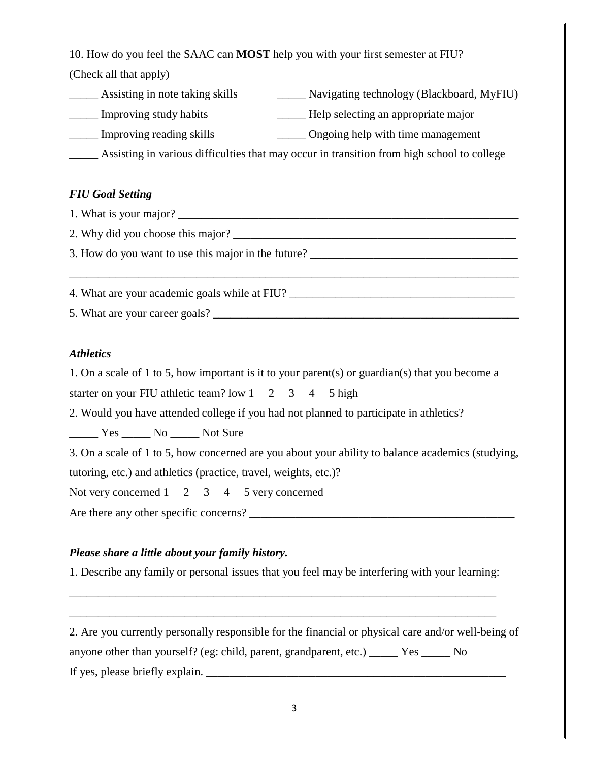10. How do you feel the SAAC can **MOST** help you with your first semester at FIU? (Check all that apply)

Assisting in note taking skills \_\_\_\_\_\_\_\_ Navigating technology (Blackboard, MyFIU) \_\_\_\_\_ Improving study habits \_\_\_\_\_ Help selecting an appropriate major \_\_\_\_\_ Improving reading skills \_\_\_\_\_ Ongoing help with time management \_\_\_\_\_ Assisting in various difficulties that may occur in transition from high school to college

#### *FIU Goal Setting*

1. What is your major? 2. Why did you choose this major? 3. How do you want to use this major in the future? \_\_\_\_\_\_\_\_\_\_\_\_\_\_\_\_\_\_\_\_\_\_\_\_\_\_\_\_\_\_\_\_\_\_\_\_\_\_\_\_\_\_\_\_\_\_\_\_\_\_\_\_\_\_\_\_\_\_\_\_\_\_\_\_\_\_\_\_\_\_\_\_\_\_\_\_\_\_ 4. What are your academic goals while at FIU? 5. What are your career goals?

#### *Athletics*

1. On a scale of 1 to 5, how important is it to your parent(s) or guardian(s) that you become a starter on your FIU athletic team? low  $1 \quad 2 \quad 3 \quad 4 \quad 5$  high 2. Would you have attended college if you had not planned to participate in athletics? \_\_\_\_\_ Yes \_\_\_\_\_ No \_\_\_\_\_ Not Sure 3. On a scale of 1 to 5, how concerned are you about your ability to balance academics (studying, tutoring, etc.) and athletics (practice, travel, weights, etc.)? Not very concerned 1 2 3 4 5 very concerned Are there any other specific concerns?

### *Please share a little about your family history.*

1. Describe any family or personal issues that you feel may be interfering with your learning:

\_\_\_\_\_\_\_\_\_\_\_\_\_\_\_\_\_\_\_\_\_\_\_\_\_\_\_\_\_\_\_\_\_\_\_\_\_\_\_\_\_\_\_\_\_\_\_\_\_\_\_\_\_\_\_\_\_\_\_\_\_\_\_\_\_\_\_\_\_\_\_\_\_\_

\_\_\_\_\_\_\_\_\_\_\_\_\_\_\_\_\_\_\_\_\_\_\_\_\_\_\_\_\_\_\_\_\_\_\_\_\_\_\_\_\_\_\_\_\_\_\_\_\_\_\_\_\_\_\_\_\_\_\_\_\_\_\_\_\_\_\_\_\_\_\_\_\_\_

2. Are you currently personally responsible for the financial or physical care and/or well-being of anyone other than yourself? (eg: child, parent, grandparent, etc.) \_\_\_\_\_ Yes \_\_\_\_\_ No If yes, please briefly explain.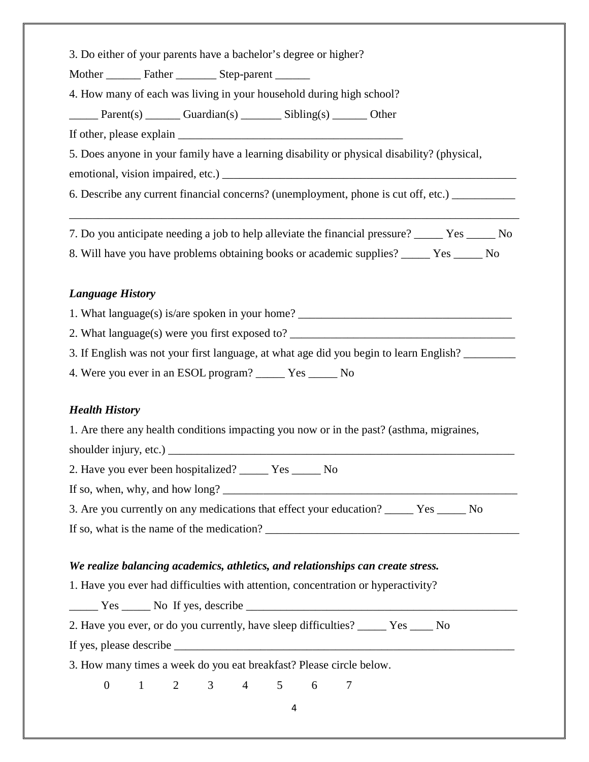3. Do either of your parents have a bachelor's degree or higher?

Mother Father Father Step-parent

4. How many of each was living in your household during high school?

Parent(s) \_\_\_\_\_\_\_ Guardian(s) \_\_\_\_\_\_\_ Sibling(s) \_\_\_\_\_\_\_ Other

If other, please explain

5. Does anyone in your family have a learning disability or physical disability? (physical,

emotional, vision impaired, etc.) \_\_\_\_\_\_\_\_\_\_\_\_\_\_\_\_\_\_\_\_\_\_\_\_\_\_\_\_\_\_\_\_\_\_\_\_\_\_\_\_\_\_\_\_\_\_\_\_\_\_\_

6. Describe any current financial concerns? (unemployment, phone is cut off, etc.)

7. Do you anticipate needing a job to help alleviate the financial pressure? Yes No

\_\_\_\_\_\_\_\_\_\_\_\_\_\_\_\_\_\_\_\_\_\_\_\_\_\_\_\_\_\_\_\_\_\_\_\_\_\_\_\_\_\_\_\_\_\_\_\_\_\_\_\_\_\_\_\_\_\_\_\_\_\_\_\_\_\_\_\_\_\_\_\_\_\_\_\_\_\_

8. Will have you have problems obtaining books or academic supplies? \_\_\_\_\_ Yes \_\_\_\_\_ No

### *Language History*

1. What language(s) is/are spoken in your home?

2. What language(s) were you first exposed to?

3. If English was not your first language, at what age did you begin to learn English?

4. Were you ever in an ESOL program? \_\_\_\_\_ Yes \_\_\_\_\_ No

### *Health History*

1. Are there any health conditions impacting you now or in the past? (asthma, migraines,

shoulder injury, etc.) \_\_\_\_\_\_\_\_\_\_\_\_\_\_\_\_\_\_\_\_\_\_\_\_\_\_\_\_\_\_\_\_\_\_\_\_\_\_\_\_\_\_\_\_\_\_\_\_\_\_\_\_\_\_\_\_\_\_\_\_

2. Have you ever been hospitalized? \_\_\_\_\_ Yes \_\_\_\_\_ No

If so, when, why, and how long?

3. Are you currently on any medications that effect your education? Yes No If so, what is the name of the medication?

### *We realize balancing academics, athletics, and relationships can create stress.*

1. Have you ever had difficulties with attention, concentration or hyperactivity?

 $Yes \_\_\_\_\$  No If yes, describe  $\_\_\_\_\_\_\_\_\_\_\_\_\_\_\_\_$ 

2. Have you ever, or do you currently, have sleep difficulties? \_\_\_\_\_ Yes \_\_\_\_ No

If yes, please describe

3. How many times a week do you eat breakfast? Please circle below.

0 1 2 3 4 5 6 7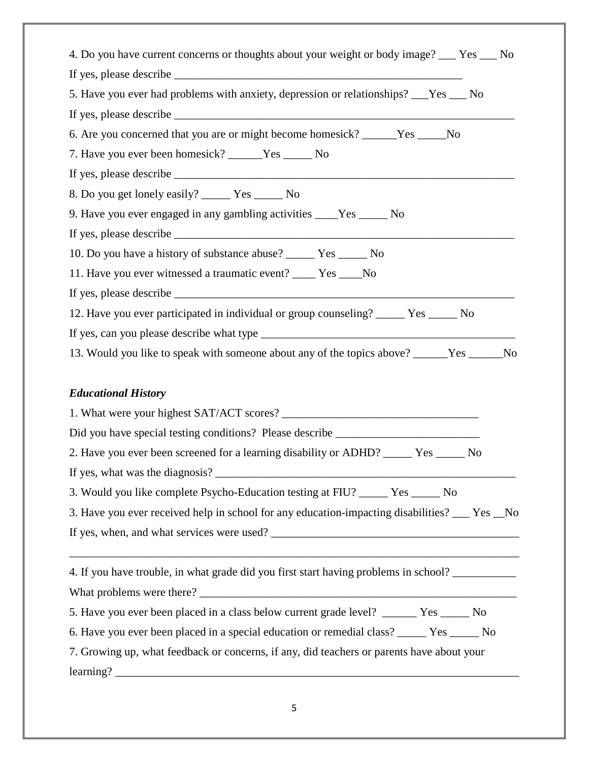| 4. Do you have current concerns or thoughts about your weight or body image? ___ Yes ___ No   |
|-----------------------------------------------------------------------------------------------|
|                                                                                               |
| 5. Have you ever had problems with anxiety, depression or relationships? __Yes __ No          |
|                                                                                               |
| 6. Are you concerned that you are or might become homesick? ______Yes _____No                 |
| 7. Have you ever been homesick? ______Yes _______ No                                          |
|                                                                                               |
|                                                                                               |
| 9. Have you ever engaged in any gambling activities ____Yes _____ No                          |
|                                                                                               |
| 10. Do you have a history of substance abuse? ______ Yes ______ No                            |
| 11. Have you ever witnessed a traumatic event? ____ Yes ____No                                |
|                                                                                               |
| 12. Have you ever participated in individual or group counseling? _____ Yes _____ No          |
|                                                                                               |
| 13. Would you like to speak with someone about any of the topics above? ______Yes ______No    |
|                                                                                               |
| <b>Educational History</b>                                                                    |
|                                                                                               |
| Did you have special testing conditions? Please describe _______________________              |
| 2. Have you ever been screened for a learning disability or ADHD? _____ Yes _____ No          |
|                                                                                               |
|                                                                                               |
| 3. Would you like complete Psycho-Education testing at FIU? _____ Yes _____ No                |
| 3. Have you ever received help in school for any education-impacting disabilities? __ Yes _No |
|                                                                                               |
|                                                                                               |
| 4. If you have trouble, in what grade did you first start having problems in school?          |
|                                                                                               |
| 5. Have you ever been placed in a class below current grade level? ______ Yes _____ No        |
| 6. Have you ever been placed in a special education or remedial class? _____ Yes _____ No     |
| 7. Growing up, what feedback or concerns, if any, did teachers or parents have about your     |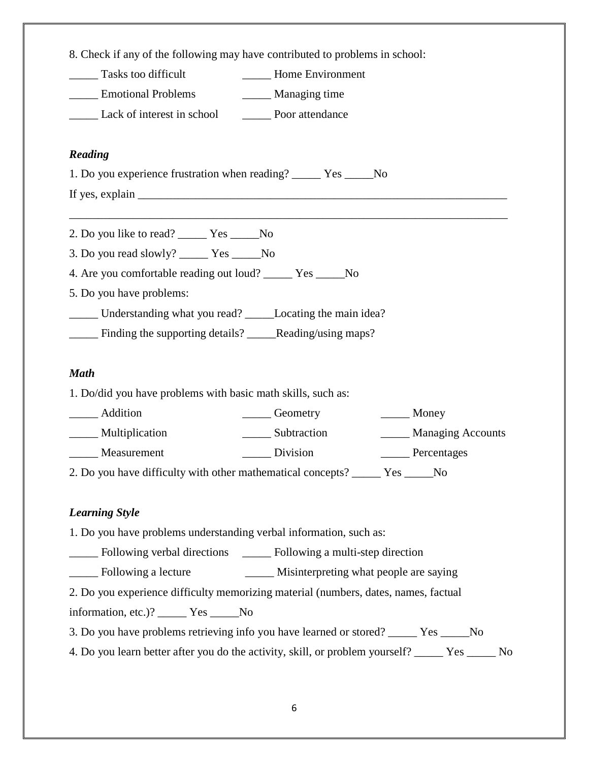| 8. Check if any of the following may have contributed to problems in school:                                                                                                                                                                                                                                                                                                                                       |                        |                          |  |  |
|--------------------------------------------------------------------------------------------------------------------------------------------------------------------------------------------------------------------------------------------------------------------------------------------------------------------------------------------------------------------------------------------------------------------|------------------------|--------------------------|--|--|
| Tasks too difficult<br><b>Environment</b>                                                                                                                                                                                                                                                                                                                                                                          |                        |                          |  |  |
| <b>Emotional Problems</b><br>_______ Managing time                                                                                                                                                                                                                                                                                                                                                                 |                        |                          |  |  |
| Lack of interest in school Poor attendance                                                                                                                                                                                                                                                                                                                                                                         |                        |                          |  |  |
| Reading                                                                                                                                                                                                                                                                                                                                                                                                            |                        |                          |  |  |
| 1. Do you experience frustration when reading? ______ Yes ______No                                                                                                                                                                                                                                                                                                                                                 |                        |                          |  |  |
| If yes, explain $\frac{1}{\sqrt{1-\frac{1}{\sqrt{1-\frac{1}{\sqrt{1-\frac{1}{\sqrt{1-\frac{1}{\sqrt{1-\frac{1}{\sqrt{1-\frac{1}{\sqrt{1-\frac{1}{\sqrt{1-\frac{1}{\sqrt{1-\frac{1}{\sqrt{1-\frac{1}{\sqrt{1-\frac{1}{\sqrt{1-\frac{1}{\sqrt{1-\frac{1}{\sqrt{1-\frac{1}{\sqrt{1-\frac{1}{\sqrt{1-\frac{1}{\sqrt{1-\frac{1}{\sqrt{1-\frac{1}{\sqrt{1-\frac{1}{\sqrt{1-\frac{1}{\sqrt{1-\frac{1}{\sqrt{1-\frac{1}{\$ |                        |                          |  |  |
| 2. Do you like to read? ______ Yes ______No                                                                                                                                                                                                                                                                                                                                                                        |                        |                          |  |  |
| 3. Do you read slowly? _______ Yes _______ No                                                                                                                                                                                                                                                                                                                                                                      |                        |                          |  |  |
| 4. Are you comfortable reading out loud? ________ Yes ________ No<br>5. Do you have problems:                                                                                                                                                                                                                                                                                                                      |                        |                          |  |  |
|                                                                                                                                                                                                                                                                                                                                                                                                                    |                        |                          |  |  |
| _____ Finding the supporting details? _____Reading/using maps?                                                                                                                                                                                                                                                                                                                                                     |                        |                          |  |  |
|                                                                                                                                                                                                                                                                                                                                                                                                                    |                        |                          |  |  |
| <b>Math</b>                                                                                                                                                                                                                                                                                                                                                                                                        |                        |                          |  |  |
| 1. Do/did you have problems with basic math skills, such as:                                                                                                                                                                                                                                                                                                                                                       |                        |                          |  |  |
| _____ Addition                                                                                                                                                                                                                                                                                                                                                                                                     | Ceometry               | $\_\_\_\$ Money          |  |  |
| _______ Multiplication                                                                                                                                                                                                                                                                                                                                                                                             | Subtraction            | ______ Managing Accounts |  |  |
| Measurement                                                                                                                                                                                                                                                                                                                                                                                                        | $\frac{1}{2}$ Division | ______ Percentages       |  |  |
| 2. Do you have difficulty with other mathematical concepts? ______ Yes _____No                                                                                                                                                                                                                                                                                                                                     |                        |                          |  |  |
| <b>Learning Style</b>                                                                                                                                                                                                                                                                                                                                                                                              |                        |                          |  |  |
|                                                                                                                                                                                                                                                                                                                                                                                                                    |                        |                          |  |  |
| 1. Do you have problems understanding verbal information, such as:                                                                                                                                                                                                                                                                                                                                                 |                        |                          |  |  |
| _____ Following verbal directions ______ Following a multi-step direction                                                                                                                                                                                                                                                                                                                                          |                        |                          |  |  |
|                                                                                                                                                                                                                                                                                                                                                                                                                    |                        |                          |  |  |
| 2. Do you experience difficulty memorizing material (numbers, dates, names, factual                                                                                                                                                                                                                                                                                                                                |                        |                          |  |  |
| information, etc.)? ______ Yes _____No                                                                                                                                                                                                                                                                                                                                                                             |                        |                          |  |  |
| 3. Do you have problems retrieving info you have learned or stored? _____ Yes _____No                                                                                                                                                                                                                                                                                                                              |                        |                          |  |  |